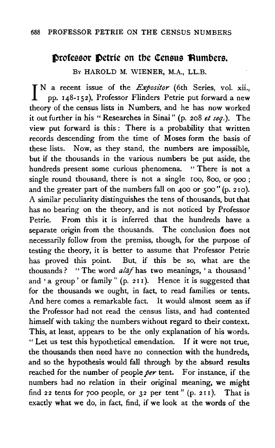## 688 PROFESSOR PETRIE ON THE CENSUS NUMBERS

## **Professor Petrie on the Census Rumbers.**

Bv HAROLD M. WIENER, M.A., LL.B.

I N a recent issue of the *Expositor* (6th Series, vol. xii., pp. 148-152), Professor Flinders Petrie put forward a new theory of the census lists in Numbers, and he has now worked it out further in his "Researches in Sinai" (p. 208 *et seq.).* The view put forward is this *:* There is a probability that written records descending from the time of Moses form the basis of these lists. Now, as they stand, the numbers are impossible, but if the thousands in the various numbers be put aside, the hundreds present some curious phenomena. " There is not a single round thousand, there is not a single 100, 800, or 900; and the greater part of the numbers fall on 400 or 500" (p. 210). A similar peculiarity distinguishes the tens of thousands, but that has no bearing on the theory, and is not noticed by Professor Petrie. From this it is inferred that the hundreds have a separate origin from the thousands. The conclusion does not necessarily follow from the premiss, though, for the purpose of testing the theory, it is better to assume that Professor Petrie has proved this point. But, if this be so, what are the thousands ? '' The word *alaf* has two meanings, ' a thousand ' and • a group ' or family " (p. *2* I I). Hence it is suggested that for the thousands we ought, in fact, to read families or tents. And here comes a remarkable fact. It would almost seem as if the Professor had not read the census lists, and had contented himself with taking the numbers without regard to their context. This, at least, appears to be the only explanation of his words. " Let us test this hypothetical emendation. If it were not true, the thousands then need have no connection with the hundreds, and so the hypothesis would fall through by the absurd results reached for the number of people *per* tent. For instance, if the numbers had no relation in their original meaning, we might find *2* 2 tents for 700 people, or *3 2* per tent " (p. *2* 11 ). That is exactly what we do, in fact, find, if we look at the words of the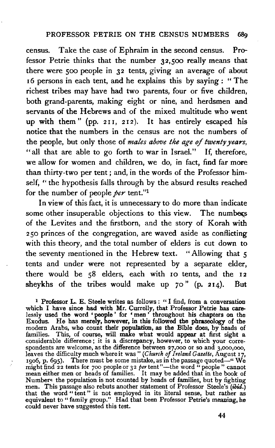census. Take the case of Ephraim in the second census. Professor Petrie thinks that the number 32,500 really means that there were 500 people in 32 tents, giving an average of about  $16$  persons in each tent, and he explains this by saying : "The richest tribes may have had two parents, four or five children, both grand-parents, making eight or nine, and herdsmen and servants of the Hebrews and of the mixed multitude who went up with them " (pp. 211, 212). It has entirely escaped his notice that the numbers in the census are not the numbers of the people, but only those of *males above the age of twenty years,*  "all that are able to go forth to war in Israel." If, therefore, we allow for women and children, we do, in fact, find far more than thirty-two per tent; and, in the words of the Professor himself, " the hypothesis falls through by the absurd results reached for the number of people *per* tent."1

In view of this fact, it is unnecessary to do more than indicate some other insuperable objections to this view. The numbers of the Levites and the firstborn, and the story of Korah with <sup>2</sup>50 princes of the congregation, are waved aside as conflicting with this theory, and the total number of elders is cut down to the seventy mentioned in the Hebrew text. "Allowing that 5 tents and under were not represented by a separate elder, there would be 58 elders, each with 10 tents, and the 12 sheykhs of the tribes would make up 70" (p. 214). But

<sup>1</sup> Professor L. E. Steele writes as follows : " I find, from a conversation which I have since had with Mr. Currelly, that Professor Petrie has carelessly used the word • people ' for ' men ' throughout his chapters on the Exodus. He has merely, however, in this followed the phraseology of the modern Arabs, who count their population, as the Bible does, by beads of families. This, of course, will make what would appear at first sight a considerable difference; it is a discrepancy, however, to which your correspondents are welcome, as the difference between 27,ooo or so and J,ooo,ooo, leaves the difficulty much where it was" *(Church of Ireland Gazette,* August 17, 1906, p. 695). There must be some mistake, as in the passage quoted—" We might find 22 tents for 700 people or 32 *per* tent"—the word "people" cannot mean either men or heads of families. It may be added that in the book of Numbers: the population is not counted by heads of families, but by fighting men. This passage also rebuts another statement of Professor Steele's (ibid.) that the word " tent " is not employed in its literal sense, but rather as equivalent to " family group." Had that been Professor Petrie's meaning, he could never have suggested this test.

44